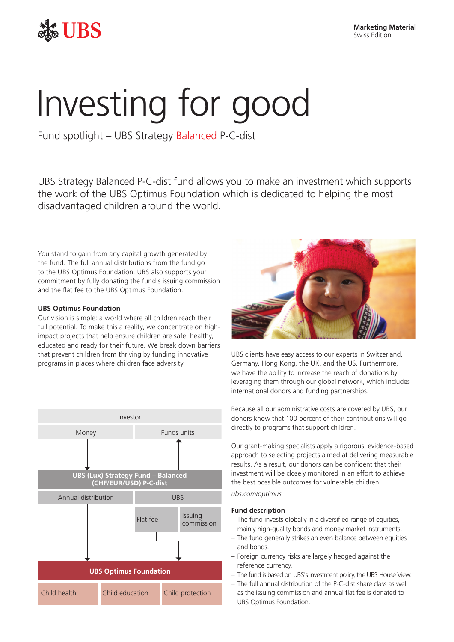

# Investing for good

Fund spotlight – UBS Strategy Balanced P-C-dist

UBS Strategy Balanced P-C-dist fund allows you to make an investment which supports the work of the UBS Optimus Foundation which is dedicated to helping the most disadvantaged children around the world.

You stand to gain from any capital growth generated by the fund. The full annual distributions from the fund go to the UBS Optimus Foundation. UBS also supports your commitment by fully donating the fund's issuing commission and the flat fee to the UBS Optimus Foundation.

### **UBS Optimus Foundation**

Our vision is simple: a world where all children reach their full potential. To make this a reality, we concentrate on highimpact projects that help ensure children are safe, healthy, educated and ready for their future. We break down barriers that prevent children from thriving by funding innovative programs in places where children face adversity.





UBS clients have easy access to our experts in Switzerland, Germany, Hong Kong, the UK, and the US. Furthermore, we have the ability to increase the reach of donations by leveraging them through our global network, which includes international donors and funding partnerships.

Because all our administrative costs are covered by UBS, our donors know that 100 percent of their contributions will go directly to programs that support children.

Our grant-making specialists apply a rigorous, evidence-based approach to selecting projects aimed at delivering measurable results. As a result, our donors can be confident that their investment will be closely monitored in an effort to achieve the best possible outcomes for vulnerable children.

*ubs.com/optimus*

### **Fund description**

- The fund invests globally in a diversified range of equities, mainly high-quality bonds and money market instruments.
- The fund generally strikes an even balance between equities and bonds.
- Foreign currency risks are largely hedged against the reference currency.
- The fund is based on UBS's investment policy, the UBS House View.
- The full annual distribution of the P-C-dist share class as well as the issuing commission and annual flat fee is donated to UBS Optimus Foundation.